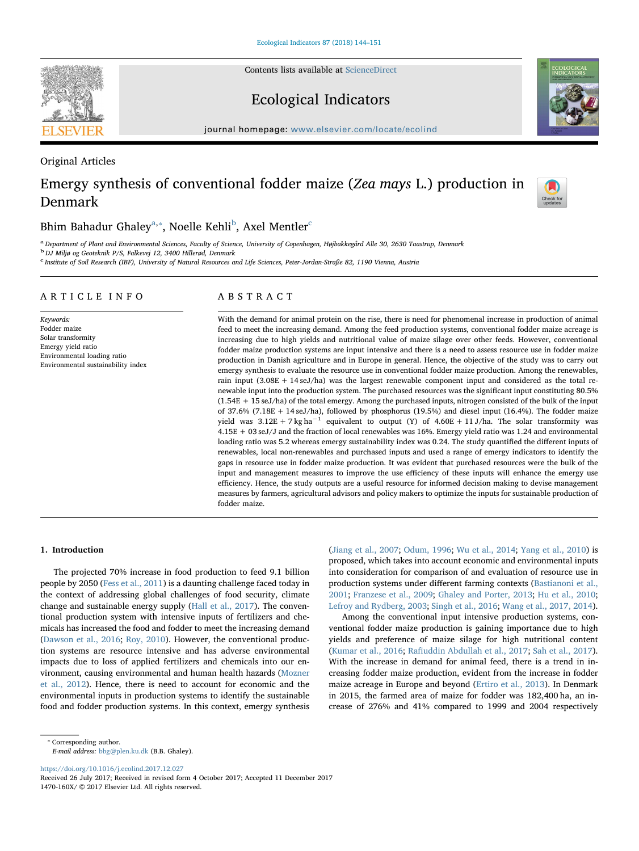Contents lists available at [ScienceDirect](http://www.sciencedirect.com/science/journal/1470160X)

## Ecological Indicators

journal homepage: [www.elsevier.com/locate/ecolind](https://www.elsevier.com/locate/ecolind)

Original Articles

# Emergy synthesis of conventional fodder maize (Zea mays L.) production in Denmark

## Bhim B[a](#page-0-0)hadur Ghaley $^{\mathrm{a},*}$ , Noelle Kehli $^{\mathrm{b}}$  $^{\mathrm{b}}$  $^{\mathrm{b}}$ , Axel Mentler $^{\mathrm{c}}$  $^{\mathrm{c}}$  $^{\mathrm{c}}$

<span id="page-0-0"></span>a<br>Pepartment of Plant and Environmental Sciences, Faculty of Science, University of Copenhagen, Højbakkegård Alle 30, 2630 Taastrup, Denmark

<span id="page-0-2"></span>b DJ Miljø og Geoteknik P/S, Falkevej 12, 3400 Hillerød, Denmark

<span id="page-0-3"></span><sup>c</sup> Institute of Soil Research (IBF), University of Natural Resources and Life Sciences, Peter-Jordan-Straße 82, 1190 Vienna, Austria

## ARTICLE INFO

Keywords: Fodder maize Solar transformity Emergy yield ratio Environmental loading ratio Environmental sustainability index

## ABSTRACT

With the demand for animal protein on the rise, there is need for phenomenal increase in production of animal feed to meet the increasing demand. Among the feed production systems, conventional fodder maize acreage is increasing due to high yields and nutritional value of maize silage over other feeds. However, conventional fodder maize production systems are input intensive and there is a need to assess resource use in fodder maize production in Danish agriculture and in Europe in general. Hence, the objective of the study was to carry out emergy synthesis to evaluate the resource use in conventional fodder maize production. Among the renewables, rain input (3.08E + 14 seJ/ha) was the largest renewable component input and considered as the total renewable input into the production system. The purchased resources was the significant input constituting 80.5% (1.54E + 15 seJ/ha) of the total emergy. Among the purchased inputs, nitrogen consisted of the bulk of the input of 37.6% (7.18E + 14 seJ/ha), followed by phosphorus (19.5%) and diesel input (16.4%). The fodder maize yield was  $3.12E + 7 kg ha^{-1}$  equivalent to output (Y) of  $4.60E + 11 J/ha$ . The solar transformity was 4.15E + 03 seJ/J and the fraction of local renewables was 16%. Emergy yield ratio was 1.24 and environmental loading ratio was 5.2 whereas emergy sustainability index was 0.24. The study quantified the different inputs of renewables, local non-renewables and purchased inputs and used a range of emergy indicators to identify the gaps in resource use in fodder maize production. It was evident that purchased resources were the bulk of the input and management measures to improve the use efficiency of these inputs will enhance the emergy use efficiency. Hence, the study outputs are a useful resource for informed decision making to devise management measures by farmers, agricultural advisors and policy makers to optimize the inputs for sustainable production of fodder maize.

## 1. Introduction

The projected 70% increase in food production to feed 9.1 billion people by 2050 [\(Fess et al., 2011](#page-6-0)) is a daunting challenge faced today in the context of addressing global challenges of food security, climate change and sustainable energy supply ([Hall et al., 2017\)](#page-6-1). The conventional production system with intensive inputs of fertilizers and chemicals has increased the food and fodder to meet the increasing demand ([Dawson et al., 2016](#page-6-2); [Roy, 2010](#page-7-0)). However, the conventional production systems are resource intensive and has adverse environmental impacts due to loss of applied fertilizers and chemicals into our environment, causing environmental and human health hazards [\(Mozner](#page-6-3) [et al., 2012](#page-6-3)). Hence, there is need to account for economic and the environmental inputs in production systems to identify the sustainable food and fodder production systems. In this context, emergy synthesis ([Jiang et al., 2007;](#page-6-4) [Odum, 1996;](#page-6-5) [Wu et al., 2014;](#page-7-1) [Yang et al., 2010\)](#page-7-2) is proposed, which takes into account economic and environmental inputs into consideration for comparison of and evaluation of resource use in production systems under different farming contexts [\(Bastianoni et al.,](#page-6-6) [2001;](#page-6-6) [Franzese et al., 2009;](#page-6-7) [Ghaley and Porter, 2013](#page-6-8); [Hu et al., 2010](#page-6-9); [Lefroy and Rydberg, 2003](#page-6-10); [Singh et al., 2016;](#page-7-3) [Wang et al., 2017, 2014](#page-7-4)).

Among the conventional input intensive production systems, conventional fodder maize production is gaining importance due to high yields and preference of maize silage for high nutritional content ([Kumar et al., 2016;](#page-6-11) Rafi[uddin Abdullah et al., 2017](#page-6-12); [Sah et al., 2017](#page-7-5)). With the increase in demand for animal feed, there is a trend in increasing fodder maize production, evident from the increase in fodder maize acreage in Europe and beyond [\(Ertiro et al., 2013\)](#page-6-13). In Denmark in 2015, the farmed area of maize for fodder was 182,400 ha, an increase of 276% and 41% compared to 1999 and 2004 respectively

<https://doi.org/10.1016/j.ecolind.2017.12.027>





Check for<br>updates

<span id="page-0-1"></span><sup>⁎</sup> Corresponding author. E-mail address: [bbg@plen.ku.dk](mailto:bbg@plen.ku.dk) (B.B. Ghaley).

Received 26 July 2017; Received in revised form 4 October 2017; Accepted 11 December 2017 1470-160X/ © 2017 Elsevier Ltd. All rights reserved.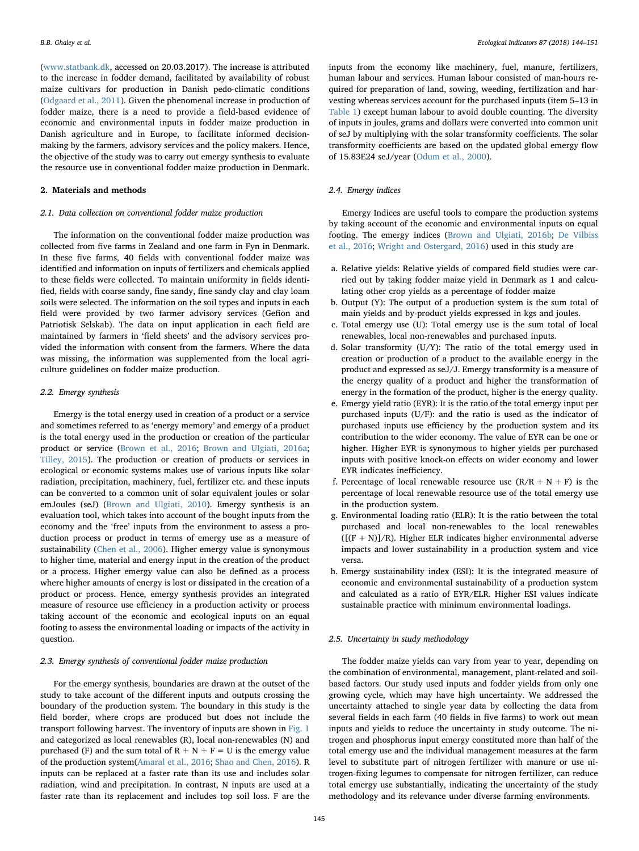([www.statbank.dk](http://www.statbank.dk), accessed on 20.03.2017). The increase is attributed to the increase in fodder demand, facilitated by availability of robust maize cultivars for production in Danish pedo-climatic conditions ([Odgaard et al., 2011](#page-6-14)). Given the phenomenal increase in production of fodder maize, there is a need to provide a field-based evidence of economic and environmental inputs in fodder maize production in Danish agriculture and in Europe, to facilitate informed decisionmaking by the farmers, advisory services and the policy makers. Hence, the objective of the study was to carry out emergy synthesis to evaluate the resource use in conventional fodder maize production in Denmark.

#### 2. Materials and methods

#### 2.1. Data collection on conventional fodder maize production

The information on the conventional fodder maize production was collected from five farms in Zealand and one farm in Fyn in Denmark. In these five farms, 40 fields with conventional fodder maize was identified and information on inputs of fertilizers and chemicals applied to these fields were collected. To maintain uniformity in fields identified, fields with coarse sandy, fine sandy, fine sandy clay and clay loam soils were selected. The information on the soil types and inputs in each field were provided by two farmer advisory services (Gefion and Patriotisk Selskab). The data on input application in each field are maintained by farmers in 'field sheets' and the advisory services provided the information with consent from the farmers. Where the data was missing, the information was supplemented from the local agriculture guidelines on fodder maize production.

#### 2.2. Emergy synthesis

Emergy is the total energy used in creation of a product or a service and sometimes referred to as 'energy memory' and emergy of a product is the total energy used in the production or creation of the particular product or service [\(Brown et al., 2016](#page-6-15); [Brown and Ulgiati, 2016a](#page-6-16); [Tilley, 2015\)](#page-7-6). The production or creation of products or services in ecological or economic systems makes use of various inputs like solar radiation, precipitation, machinery, fuel, fertilizer etc. and these inputs can be converted to a common unit of solar equivalent joules or solar emJoules (seJ) [\(Brown and Ulgiati, 2010\)](#page-6-17). Emergy synthesis is an evaluation tool, which takes into account of the bought inputs from the economy and the 'free' inputs from the environment to assess a production process or product in terms of emergy use as a measure of sustainability [\(Chen et al., 2006\)](#page-6-18). Higher emergy value is synonymous to higher time, material and energy input in the creation of the product or a process. Higher emergy value can also be defined as a process where higher amounts of energy is lost or dissipated in the creation of a product or process. Hence, emergy synthesis provides an integrated measure of resource use efficiency in a production activity or process taking account of the economic and ecological inputs on an equal footing to assess the environmental loading or impacts of the activity in question.

## 2.3. Emergy synthesis of conventional fodder maize production

For the emergy synthesis, boundaries are drawn at the outset of the study to take account of the different inputs and outputs crossing the boundary of the production system. The boundary in this study is the field border, where crops are produced but does not include the transport following harvest. The inventory of inputs are shown in [Fig. 1](#page-2-0) and categorized as local renewables (R), local non-renewables (N) and purchased (F) and the sum total of  $R + N + F = U$  is the emergy value of the production system[\(Amaral et al., 2016](#page-6-19); [Shao and Chen, 2016\)](#page-7-7). R inputs can be replaced at a faster rate than its use and includes solar radiation, wind and precipitation. In contrast, N inputs are used at a faster rate than its replacement and includes top soil loss. F are the

inputs from the economy like machinery, fuel, manure, fertilizers, human labour and services. Human labour consisted of man-hours required for preparation of land, sowing, weeding, fertilization and harvesting whereas services account for the purchased inputs (item 5–13 in [Table 1](#page-2-1)) except human labour to avoid double counting. The diversity of inputs in joules, grams and dollars were converted into common unit of seJ by multiplying with the solar transformity coefficients. The solar transformity coefficients are based on the updated global emergy flow of 15.83E24 seJ/year [\(Odum et al., 2000](#page-6-20)).

### 2.4. Emergy indices

Emergy Indices are useful tools to compare the production systems by taking account of the economic and environmental inputs on equal footing. The emergy indices [\(Brown and Ulgiati, 2016b](#page-6-21); [De Vilbiss](#page-6-22) [et al., 2016](#page-6-22); [Wright and Ostergard, 2016](#page-7-8)) used in this study are

- a. Relative yields: Relative yields of compared field studies were carried out by taking fodder maize yield in Denmark as 1 and calculating other crop yields as a percentage of fodder maize
- b. Output (Y): The output of a production system is the sum total of main yields and by-product yields expressed in kgs and joules.
- c. Total emergy use (U): Total emergy use is the sum total of local renewables, local non-renewables and purchased inputs.
- d. Solar transformity (U/Y): The ratio of the total emergy used in creation or production of a product to the available energy in the product and expressed as seJ/J. Emergy transformity is a measure of the energy quality of a product and higher the transformation of energy in the formation of the product, higher is the energy quality.
- e. Emergy yield ratio (EYR): It is the ratio of the total emergy input per purchased inputs (U/F): and the ratio is used as the indicator of purchased inputs use efficiency by the production system and its contribution to the wider economy. The value of EYR can be one or higher. Higher EYR is synonymous to higher yields per purchased inputs with positive knock-on effects on wider economy and lower EYR indicates inefficiency.
- f. Percentage of local renewable resource use  $(R/R + N + F)$  is the percentage of local renewable resource use of the total emergy use in the production system.
- g. Environmental loading ratio (ELR): It is the ratio between the total purchased and local non-renewables to the local renewables  $([F + N] / R)$ . Higher ELR indicates higher environmental adverse impacts and lower sustainability in a production system and vice versa.
- h. Emergy sustainability index (ESI): It is the integrated measure of economic and environmental sustainability of a production system and calculated as a ratio of EYR/ELR. Higher ESI values indicate sustainable practice with minimum environmental loadings.

### 2.5. Uncertainty in study methodology

The fodder maize yields can vary from year to year, depending on the combination of environmental, management, plant-related and soilbased factors. Our study used inputs and fodder yields from only one growing cycle, which may have high uncertainty. We addressed the uncertainty attached to single year data by collecting the data from several fields in each farm (40 fields in five farms) to work out mean inputs and yields to reduce the uncertainty in study outcome. The nitrogen and phosphorus input emergy constituted more than half of the total emergy use and the individual management measures at the farm level to substitute part of nitrogen fertilizer with manure or use nitrogen-fixing legumes to compensate for nitrogen fertilizer, can reduce total emergy use substantially, indicating the uncertainty of the study methodology and its relevance under diverse farming environments.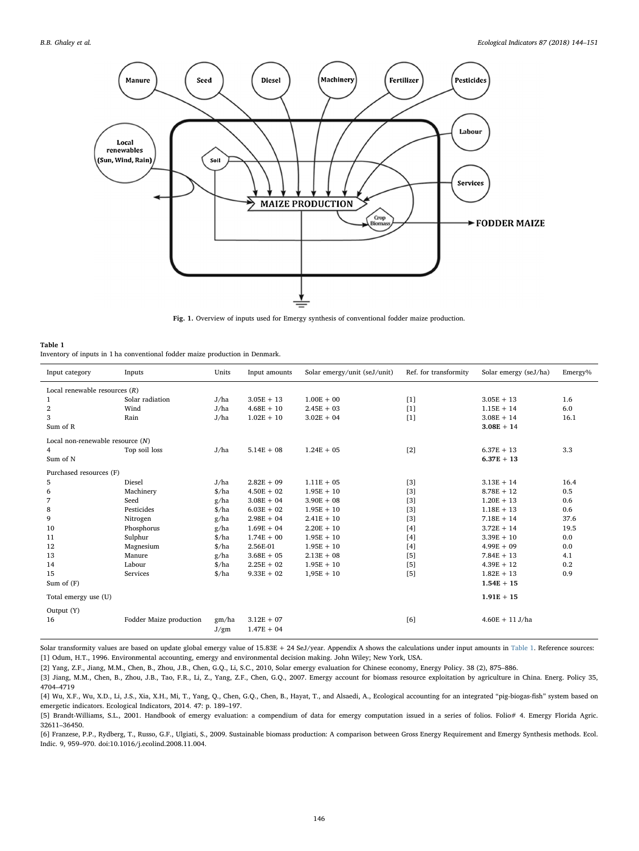<span id="page-2-0"></span>

Fig. 1. Overview of inputs used for Emergy synthesis of conventional fodder maize production.

<span id="page-2-1"></span>

| Table 1                                                                      |
|------------------------------------------------------------------------------|
| Inventory of inputs in 1 ha conventional fodder maize production in Denmark. |

| Input category                     | Inputs                  | Units                         | Input amounts | Solar emergy/unit (seJ/unit) | Ref. for transformity | Solar emergy (seJ/ha) | Emergy% |  |
|------------------------------------|-------------------------|-------------------------------|---------------|------------------------------|-----------------------|-----------------------|---------|--|
| Local renewable resources $(R)$    |                         |                               |               |                              |                       |                       |         |  |
| 1                                  | Solar radiation         | J/ha                          | $3.05E + 13$  | $1.00E + 00$                 | $[1]$                 | $3.05E + 13$          | 1.6     |  |
| 2                                  | Wind                    | J/ha                          | $4.68E + 10$  | $2.45E + 03$                 | $[1]$                 | $1.15E + 14$          | 6.0     |  |
| 3                                  | Rain                    | J/ha                          | $1.02E + 10$  | $3.02E + 04$                 | $[1]$                 | $3.08E + 14$          | 16.1    |  |
| Sum of R                           |                         |                               |               |                              |                       | $3.08E + 14$          |         |  |
| Local non-renewable resource $(N)$ |                         |                               |               |                              |                       |                       |         |  |
| 4                                  | Top soil loss           | J/ha                          | $5.14E + 08$  | $1.24E + 05$                 | $[2]$                 | $6.37E + 13$          | 3.3     |  |
| Sum of N                           |                         |                               |               |                              |                       | $6.37E + 13$          |         |  |
| Purchased resources (F)            |                         |                               |               |                              |                       |                       |         |  |
| 5                                  | Diesel                  | J/ha                          | $2.82E + 09$  | $1.11E + 05$                 | [3]                   | $3.13E + 14$          | 16.4    |  |
| 6                                  | Machinery               | $\frac{\text{g}}{\text{h}}$   | $4.50E + 02$  | $1.95E + 10$                 | $[3]$                 | $8.78E + 12$          | 0.5     |  |
| 7                                  | Seed                    | g/ha                          | $3.08E + 04$  | $3.90E + 08$                 | [3]                   | $1.20E + 13$          | 0.6     |  |
| 8                                  | Pesticides              | $\frac{\text{g}}{\text{h}}$   | $6.03E + 02$  | $1.95E + 10$                 | $[3]$                 | $1.18E + 13$          | 0.6     |  |
| 9                                  | Nitrogen                | g/ha                          | $2.98E + 04$  | $2.41E + 10$                 | [3]                   | $7.18E + 14$          | 37.6    |  |
| 10                                 | Phosphorus              | g/ha                          | $1.69E + 04$  | $2.20E + 10$                 | $[4]$                 | $3.72E + 14$          | 19.5    |  |
| 11                                 | Sulphur                 | $\frac{\text{g}}{\text{h}}$   | $1.74E + 00$  | $1.95E + 10$                 | [4]                   | $3.39E + 10$          | 0.0     |  |
| 12                                 | Magnesium               | $\frac{\text{}}{\text{}}$ /ha | 2.56E-01      | $1.95E + 10$                 | [4]                   | $4.99E + 09$          | 0.0     |  |
| 13                                 | Manure                  | g/ha                          | $3.68E + 05$  | $2.13E + 08$                 | [5]                   | $7.84E + 13$          | 4.1     |  |
| 14                                 | Labour                  | \$/ha                         | $2.25E + 02$  | $1.95E + 10$                 | [5]                   | $4.39E + 12$          | 0.2     |  |
| 15                                 | Services                | $\frac{\text{g}}{\text{h}}$   | $9.33E + 02$  | $1,95E + 10$                 | $[5]$                 | $1.82E + 13$          | 0.9     |  |
| Sum of $(F)$                       |                         |                               |               |                              |                       | $1.54E + 15$          |         |  |
| Total emergy use (U)               |                         |                               |               |                              |                       | $1.91E + 15$          |         |  |
| Output (Y)                         |                         |                               |               |                              |                       |                       |         |  |
| 16                                 | Fodder Maize production | gm/ha                         | $3.12E + 07$  |                              | [6]                   | $4.60E + 11 J/ha$     |         |  |
|                                    |                         | J/gm                          | $1.47E + 04$  |                              |                       |                       |         |  |

Solar transformity values are based on update global emergy value of 15.83E + 24 SeJ/year. Appendix A shows the calculations under input amounts in [Table 1.](#page-2-1) Reference sources: [1] Odum, H.T., 1996. Environmental accounting, emergy and environmental decision making. John Wiley; New York, USA.

[2] Yang, Z.F., Jiang, M.M., Chen, B., Zhou, J.B., Chen, G.Q., Li, S.C., 2010, Solar emergy evaluation for Chinese economy, Energy Policy. 38 (2), 875–886.

[3] Jiang, M.M., Chen, B., Zhou, J.B., Tao, F.R., Li, Z., Yang, Z.F., Chen, G.Q., 2007. Emergy account for biomass resource exploitation by agriculture in China. Energ. Policy 35, 4704–4719

[4] Wu, X.F., Wu, X.D., Li, J.S., Xia, X.H., Mi, T., Yang, Q., Chen, G.Q., Chen, B., Hayat, T., and Alsaedi, A., Ecological accounting for an integrated "pig-biogas-fish" system based on emergetic indicators. Ecological Indicators, 2014. 47: p. 189–197.

[5] Brandt-Williams, S.L., 2001. Handbook of emergy evaluation: a compendium of data for emergy computation issued in a series of folios. Folio# 4. Emergy Florida Agric. 32611–36450.

[6] Franzese, P.P., Rydberg, T., Russo, G.F., Ulgiati, S., 2009. Sustainable biomass production: A comparison between Gross Energy Requirement and Emergy Synthesis methods. Ecol. Indic. 9, 959–970. doi:10.1016/j.ecolind.2008.11.004.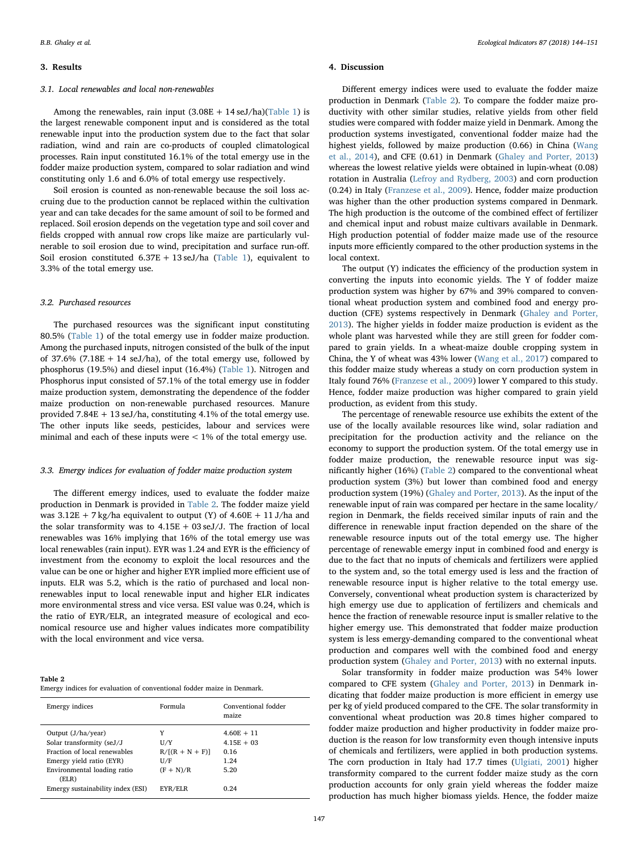#### 3. Results

#### 3.1. Local renewables and local non-renewables

Among the renewables, rain input  $(3.08E + 14 \text{ seJ/ha})(\text{Table 1})$  is the largest renewable component input and is considered as the total renewable input into the production system due to the fact that solar radiation, wind and rain are co-products of coupled climatological processes. Rain input constituted 16.1% of the total emergy use in the fodder maize production system, compared to solar radiation and wind constituting only 1.6 and 6.0% of total emergy use respectively.

Soil erosion is counted as non-renewable because the soil loss accruing due to the production cannot be replaced within the cultivation year and can take decades for the same amount of soil to be formed and replaced. Soil erosion depends on the vegetation type and soil cover and fields cropped with annual row crops like maize are particularly vulnerable to soil erosion due to wind, precipitation and surface run-off. Soil erosion constituted  $6.37E + 13$  seJ/ha [\(Table 1\)](#page-2-1), equivalent to 3.3% of the total emergy use.

#### 3.2. Purchased resources

The purchased resources was the significant input constituting 80.5% [\(Table 1](#page-2-1)) of the total emergy use in fodder maize production. Among the purchased inputs, nitrogen consisted of the bulk of the input of 37.6% (7.18E + 14 seJ/ha), of the total emergy use, followed by phosphorus (19.5%) and diesel input (16.4%) [\(Table 1\)](#page-2-1). Nitrogen and Phosphorus input consisted of 57.1% of the total emergy use in fodder maize production system, demonstrating the dependence of the fodder maize production on non-renewable purchased resources. Manure provided 7.84E + 13 seJ/ha, constituting 4.1% of the total emergy use. The other inputs like seeds, pesticides, labour and services were minimal and each of these inputs were  $< 1\%$  of the total emergy use.

#### 3.3. Emergy indices for evaluation of fodder maize production system

The different emergy indices, used to evaluate the fodder maize production in Denmark is provided in [Table 2.](#page-3-0) The fodder maize yield was  $3.12E + 7$  kg/ha equivalent to output (Y) of  $4.60E + 11$  J/ha and the solar transformity was to  $4.15E + 03 \text{ seJ/J}$ . The fraction of local renewables was 16% implying that 16% of the total emergy use was local renewables (rain input). EYR was 1.24 and EYR is the efficiency of investment from the economy to exploit the local resources and the value can be one or higher and higher EYR implied more efficient use of inputs. ELR was 5.2, which is the ratio of purchased and local nonrenewables input to local renewable input and higher ELR indicates more environmental stress and vice versa. ESI value was 0.24, which is the ratio of EYR/ELR, an integrated measure of ecological and economical resource use and higher values indicates more compatibility with the local environment and vice versa.

<span id="page-3-0"></span>

| Table 2                                                                |  |  |
|------------------------------------------------------------------------|--|--|
| Emergy indices for evaluation of conventional fodder maize in Denmark. |  |  |

| Emergy indices                                                                                                                                                                             | Formula                                                      | Conventional fodder<br>maize                                  |
|--------------------------------------------------------------------------------------------------------------------------------------------------------------------------------------------|--------------------------------------------------------------|---------------------------------------------------------------|
| Output $(J/ha/year)$<br>Solar transformity (seJ/J<br>Fraction of local renewables<br>Emergy yield ratio (EYR)<br>Environmental loading ratio<br>(ELR)<br>Emergy sustainability index (ESI) | Y<br>U/Y<br>$R/[R + N + F]$<br>U/F<br>$(F + N)/R$<br>EYR/ELR | $4.60E + 11$<br>$4.15E + 0.3$<br>0.16<br>1.24<br>5.20<br>0.24 |
|                                                                                                                                                                                            |                                                              |                                                               |

#### 4. Discussion

Different emergy indices were used to evaluate the fodder maize production in Denmark [\(Table 2](#page-3-0)). To compare the fodder maize productivity with other similar studies, relative yields from other field studies were compared with fodder maize yield in Denmark. Among the production systems investigated, conventional fodder maize had the highest yields, followed by maize production (0.66) in China ([Wang](#page-7-9) [et al., 2014\)](#page-7-9), and CFE (0.61) in Denmark ([Ghaley and Porter, 2013\)](#page-6-8) whereas the lowest relative yields were obtained in lupin-wheat (0.08) rotation in Australia [\(Lefroy and Rydberg, 2003\)](#page-6-10) and corn production (0.24) in Italy ([Franzese et al., 2009\)](#page-6-7). Hence, fodder maize production was higher than the other production systems compared in Denmark. The high production is the outcome of the combined effect of fertilizer and chemical input and robust maize cultivars available in Denmark. High production potential of fodder maize made use of the resource inputs more efficiently compared to the other production systems in the local context.

The output (Y) indicates the efficiency of the production system in converting the inputs into economic yields. The Y of fodder maize production system was higher by 67% and 39% compared to conventional wheat production system and combined food and energy production (CFE) systems respectively in Denmark [\(Ghaley and Porter,](#page-6-8) [2013\)](#page-6-8). The higher yields in fodder maize production is evident as the whole plant was harvested while they are still green for fodder compared to grain yields. In a wheat-maize double cropping system in China, the Y of wheat was 43% lower [\(Wang et al., 2017](#page-7-4)) compared to this fodder maize study whereas a study on corn production system in Italy found 76% [\(Franzese et al., 2009\)](#page-6-7) lower Y compared to this study. Hence, fodder maize production was higher compared to grain yield production, as evident from this study.

The percentage of renewable resource use exhibits the extent of the use of the locally available resources like wind, solar radiation and precipitation for the production activity and the reliance on the economy to support the production system. Of the total emergy use in fodder maize production, the renewable resource input was significantly higher (16%) [\(Table 2\)](#page-3-0) compared to the conventional wheat production system (3%) but lower than combined food and energy production system (19%) [\(Ghaley and Porter, 2013\)](#page-6-8). As the input of the renewable input of rain was compared per hectare in the same locality/ region in Denmark, the fields received similar inputs of rain and the difference in renewable input fraction depended on the share of the renewable resource inputs out of the total emergy use. The higher percentage of renewable emergy input in combined food and energy is due to the fact that no inputs of chemicals and fertilizers were applied to the system and, so the total emergy used is less and the fraction of renewable resource input is higher relative to the total emergy use. Conversely, conventional wheat production system is characterized by high emergy use due to application of fertilizers and chemicals and hence the fraction of renewable resource input is smaller relative to the higher emergy use. This demonstrated that fodder maize production system is less emergy-demanding compared to the conventional wheat production and compares well with the combined food and energy production system ([Ghaley and Porter, 2013](#page-6-8)) with no external inputs.

Solar transformity in fodder maize production was 54% lower compared to CFE system [\(Ghaley and Porter, 2013\)](#page-6-8) in Denmark indicating that fodder maize production is more efficient in emergy use per kg of yield produced compared to the CFE. The solar transformity in conventional wheat production was 20.8 times higher compared to fodder maize production and higher productivity in fodder maize production is the reason for low transformity even though intensive inputs of chemicals and fertilizers, were applied in both production systems. The corn production in Italy had 17.7 times ([Ulgiati, 2001\)](#page-7-10) higher transformity compared to the current fodder maize study as the corn production accounts for only grain yield whereas the fodder maize production has much higher biomass yields. Hence, the fodder maize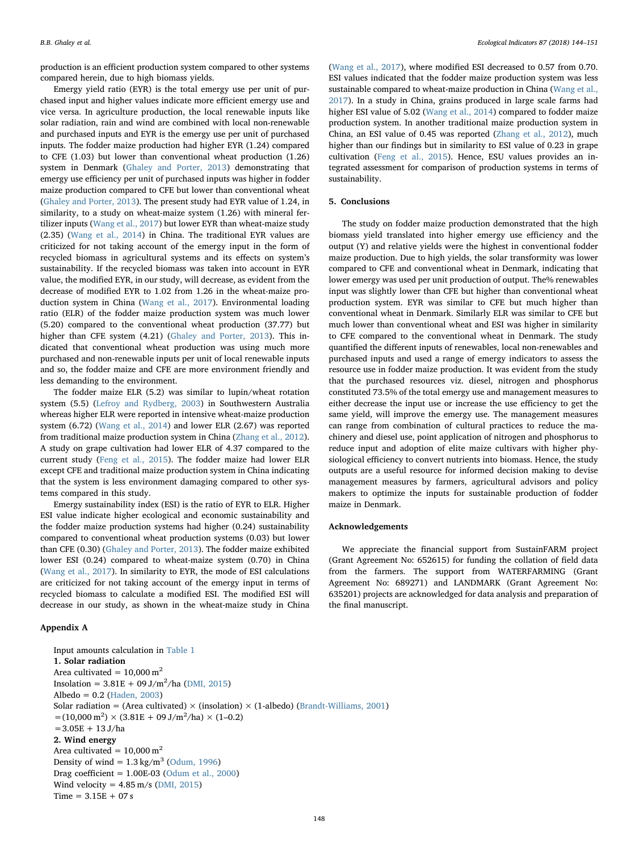production is an efficient production system compared to other systems compared herein, due to high biomass yields.

Emergy yield ratio (EYR) is the total emergy use per unit of purchased input and higher values indicate more efficient emergy use and vice versa. In agriculture production, the local renewable inputs like solar radiation, rain and wind are combined with local non-renewable and purchased inputs and EYR is the emergy use per unit of purchased inputs. The fodder maize production had higher EYR (1.24) compared to CFE (1.03) but lower than conventional wheat production (1.26) system in Denmark ([Ghaley and Porter, 2013](#page-6-8)) demonstrating that emergy use efficiency per unit of purchased inputs was higher in fodder maize production compared to CFE but lower than conventional wheat ([Ghaley and Porter, 2013\)](#page-6-8). The present study had EYR value of 1.24, in similarity, to a study on wheat-maize system (1.26) with mineral fertilizer inputs ([Wang et al., 2017](#page-7-4)) but lower EYR than wheat-maize study (2.35) ([Wang et al., 2014](#page-7-9)) in China. The traditional EYR values are criticized for not taking account of the emergy input in the form of recycled biomass in agricultural systems and its effects on system's sustainability. If the recycled biomass was taken into account in EYR value, the modified EYR, in our study, will decrease, as evident from the decrease of modified EYR to 1.02 from 1.26 in the wheat-maize production system in China [\(Wang et al., 2017](#page-7-4)). Environmental loading ratio (ELR) of the fodder maize production system was much lower (5.20) compared to the conventional wheat production (37.77) but higher than CFE system (4.21) [\(Ghaley and Porter, 2013\)](#page-6-8). This indicated that conventional wheat production was using much more purchased and non-renewable inputs per unit of local renewable inputs and so, the fodder maize and CFE are more environment friendly and less demanding to the environment.

The fodder maize ELR (5.2) was similar to lupin/wheat rotation system (5.5) ([Lefroy and Rydberg, 2003](#page-6-10)) in Southwestern Australia whereas higher ELR were reported in intensive wheat-maize production system (6.72) ([Wang et al., 2014](#page-7-9)) and lower ELR (2.67) was reported from traditional maize production system in China ([Zhang et al., 2012](#page-7-11)). A study on grape cultivation had lower ELR of 4.37 compared to the current study ([Feng et al., 2015\)](#page-6-23). The fodder maize had lower ELR except CFE and traditional maize production system in China indicating that the system is less environment damaging compared to other systems compared in this study.

Emergy sustainability index (ESI) is the ratio of EYR to ELR. Higher ESI value indicate higher ecological and economic sustainability and the fodder maize production systems had higher (0.24) sustainability compared to conventional wheat production systems (0.03) but lower than CFE (0.30) ([Ghaley and Porter, 2013\)](#page-6-8). The fodder maize exhibited lower ESI (0.24) compared to wheat-maize system (0.70) in China ([Wang et al., 2017](#page-7-4)). In similarity to EYR, the mode of ESI calculations are criticized for not taking account of the emergy input in terms of recycled biomass to calculate a modified ESI. The modified ESI will decrease in our study, as shown in the wheat-maize study in China

## Appendix A

Input amounts calculation in [Table 1](#page-2-1) 1. Solar radiation Area cultivated =  $10,000 \text{ m}^2$ Insolation =  $3.81E + 09 J/m^2/ha$  [\(DMI, 2015](#page-6-24))  $Albedo = 0.2$  ([Haden, 2003\)](#page-6-25) Solar radiation = (Area cultivated)  $\times$  (insolation)  $\times$  (1-albedo) ([Brandt-Williams, 2001\)](#page-6-26)  $=(10,000 \text{ m}^2) \times (3.81 \text{E} + 09 \text{ J/m}^2/\text{ha}) \times (1 - 0.2)$  $=3.05E + 13 J/ha$ 2. Wind energy Area cultivated =  $10,000 \text{ m}^2$ Density of wind  $= 1.3 \text{ kg/m}^3$  ([Odum, 1996\)](#page-6-5) Drag coefficient =  $1.00E-03$  [\(Odum et al., 2000](#page-6-20)) Wind velocity =  $4.85 \text{ m/s}$  [\(DMI, 2015](#page-6-24))  $Time = 3.15E + 07s$ 

([Wang et al., 2017](#page-7-4)), where modified ESI decreased to 0.57 from 0.70. ESI values indicated that the fodder maize production system was less sustainable compared to wheat-maize production in China ([Wang et al.,](#page-7-4) [2017\)](#page-7-4). In a study in China, grains produced in large scale farms had higher ESI value of 5.02 (Wang [et al., 2014\)](#page-7-9) compared to fodder maize production system. In another traditional maize production system in China, an ESI value of 0.45 was reported ([Zhang et al., 2012\)](#page-7-11), much higher than our findings but in similarity to ESI value of 0.23 in grape cultivation ([Feng et al., 2015](#page-6-23)). Hence, ESU values provides an integrated assessment for comparison of production systems in terms of sustainability.

## 5. Conclusions

The study on fodder maize production demonstrated that the high biomass yield translated into higher emergy use efficiency and the output (Y) and relative yields were the highest in conventional fodder maize production. Due to high yields, the solar transformity was lower compared to CFE and conventional wheat in Denmark, indicating that lower emergy was used per unit production of output. The% renewables input was slightly lower than CFE but higher than conventional wheat production system. EYR was similar to CFE but much higher than conventional wheat in Denmark. Similarly ELR was similar to CFE but much lower than conventional wheat and ESI was higher in similarity to CFE compared to the conventional wheat in Denmark. The study quantified the different inputs of renewables, local non-renewables and purchased inputs and used a range of emergy indicators to assess the resource use in fodder maize production. It was evident from the study that the purchased resources viz. diesel, nitrogen and phosphorus constituted 73.5% of the total emergy use and management measures to either decrease the input use or increase the use efficiency to get the same yield, will improve the emergy use. The management measures can range from combination of cultural practices to reduce the machinery and diesel use, point application of nitrogen and phosphorus to reduce input and adoption of elite maize cultivars with higher physiological efficiency to convert nutrients into biomass. Hence, the study outputs are a useful resource for informed decision making to devise management measures by farmers, agricultural advisors and policy makers to optimize the inputs for sustainable production of fodder maize in Denmark.

#### Acknowledgements

We appreciate the financial support from SustainFARM project (Grant Agreement No: 652615) for funding the collation of field data from the farmers. The support from WATERFARMING (Grant Agreement No: 689271) and LANDMARK (Grant Agreement No: 635201) projects are acknowledged for data analysis and preparation of the final manuscript.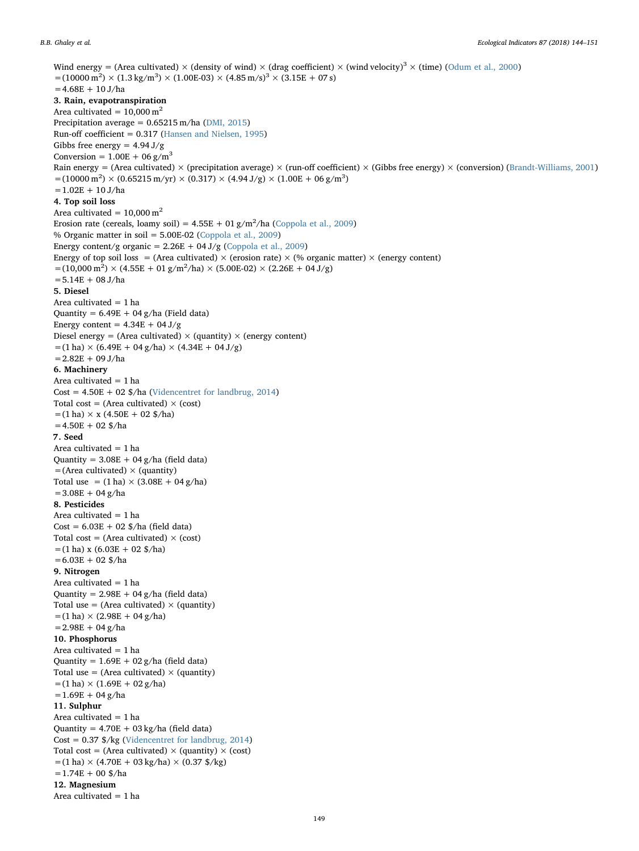Wind energy = (Area cultivated)  $\times$  (density of wind)  $\times$  (drag coefficient)  $\times$  (wind velocity)<sup>3</sup>  $\times$  (time) ([Odum et al., 2000\)](#page-6-20)  $=(10000 \text{ m}^2) \times (1.3 \text{ kg/m}^3) \times (1.00E-03) \times (4.85 \text{ m/s})^3 \times (3.15E + 07 \text{ s})$  $=4.68E + 10 J/ha$ 3. Rain, evapotranspiration Area cultivated =  $10,000 \text{ m}^2$ Precipitation average = 0.65215 m/ha [\(DMI, 2015](#page-6-24)) Run-off coefficient = 0.317 ([Hansen and Nielsen, 1995](#page-6-27)) Gibbs free energy =  $4.94 \text{ J/g}$ Conversion =  $1.00E + 06 g/m<sup>3</sup>$ Rain energy = (Area cultivated) × (precipitation average) × (run-off coefficient) × (Gibbs free energy) × (conversion) [\(Brandt-Williams, 2001\)](#page-6-26)  $=$  (10000 m<sup>2</sup>) × (0.65215 m/yr) × (0.317) × (4.94 J/g) × (1.00E + 06 g/m<sup>3</sup>)  $=1.02E + 10 J/ha$ 4. Top soil loss Area cultivated =  $10,000$  m<sup>2</sup> Erosion rate (cereals, loamy soil) =  $4.55E + 01 g/m^2/h$ a [\(Coppola et al., 2009](#page-6-28)) % Organic matter in soil = 5.00E-02 ([Coppola et al., 2009\)](#page-6-28) Energy content/g organic =  $2.26E + 04 J/g$  ([Coppola et al., 2009\)](#page-6-28) Energy of top soil loss = (Area cultivated)  $\times$  (erosion rate)  $\times$  (% organic matter)  $\times$  (energy content)  $=(10,000 \text{ m}^2) \times (4.55 \text{E} + 01 \text{ g/m}^2/\text{ha}) \times (5.00 \text{E} -02) \times (2.26 \text{E} + 04 \text{ J/g})$  $=$  5.14E + 08 J/ha 5. Diesel Area cultivated = 1 ha Quantity =  $6.49E + 04 g/ha$  (Field data) Energy content =  $4.34E + 04 J/g$ Diesel energy = (Area cultivated)  $\times$  (quantity)  $\times$  (energy content)  $=(1 \text{ ha}) \times (6.49E + 04 \text{ g/ha}) \times (4.34E + 04 \text{ J/g})$  $=2.82E + 09 J/ha$ 6. Machinery Area cultivated = 1 ha  $Cost = 4.50E + 02$  \$/ha [\(Videncentret for landbrug, 2014](#page-7-12)) Total cost = (Area cultivated)  $\times$  (cost)  $=(1 \text{ ha}) \times x (4.50E + 02 \text{ %/ha})$  $=4.50E + 02$  \$/ha 7. Seed Area cultivated = 1 ha Quantity =  $3.08E + 04 g/ha$  (field data)  $=$  (Area cultivated)  $\times$  (quantity) Total use =  $(1 \text{ ha}) \times (3.08E + 04 \text{ g/ha})$  $=$  3.08E + 04 g/ha 8. Pesticides Area cultivated  $= 1$  ha  $Cost = 6.03E + 02$  \$/ha (field data) Total cost = (Area cultivated)  $\times$  (cost)  $=(1 \text{ ha}) \times (6.03E + 02 \text{ $\frac{6}{h}$/ha})$  $=6.03E + 02$ \$/ha 9. Nitrogen Area cultivated  $= 1$  ha Quantity =  $2.98E + 04 g/ha$  (field data) Total use = (Area cultivated)  $\times$  (quantity)  $=(1 \text{ ha}) \times (2.98E + 04 \text{ g/ha})$  $=$  2.98E + 04 g/ha 10. Phosphorus Area cultivated = 1 ha Quantity =  $1.69E + 02 g/ha$  (field data) Total use = (Area cultivated)  $\times$  (quantity)  $=(1 \text{ ha}) \times (1.69E + 02 \text{ g/ha})$  $=1.69E + 04 g/ha$ 11. Sulphur Area cultivated = 1 ha Quantity =  $4.70E + 03 kg/ha$  (field data)  $Cost = 0.37$   $\frac{6}{x}$  [\(Videncentret for landbrug, 2014](#page-7-12)) Total cost = (Area cultivated)  $\times$  (quantity)  $\times$  (cost)  $=(1 \text{ ha}) \times (4.70E + 03 \text{ kg/ha}) \times (0.37 \text{ \$/kg})$  $=1.74E + 00 \frac{1}{2}h$ a 12. Magnesium Area cultivated = 1 ha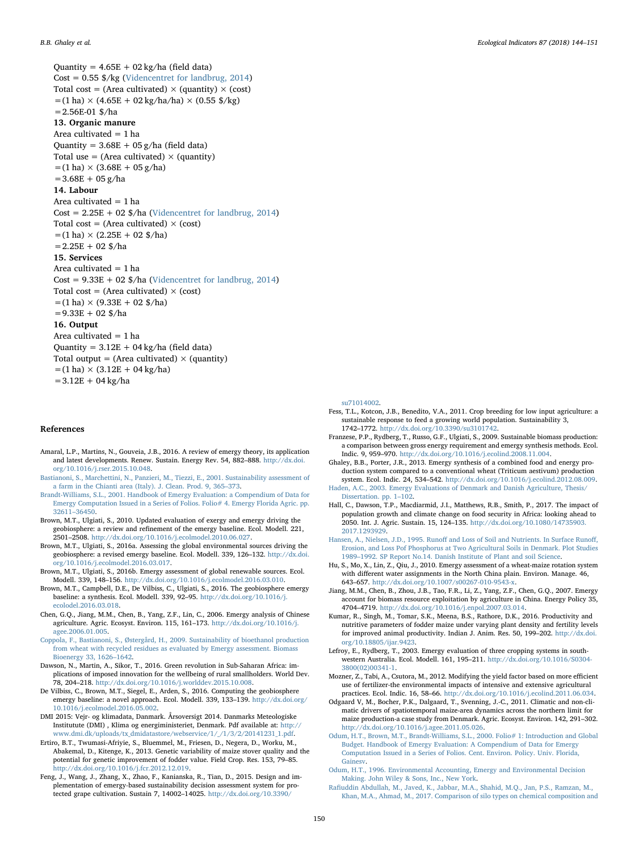B.B. Ghaley et al. *Ecological Indicators 87 (2018) 144–151*

Quantity =  $4.65E + 02 kg/ha$  (field data)  $Cost = 0.55$  \$/kg [\(Videncentret for landbrug, 2014](#page-7-12)) Total cost = (Area cultivated)  $\times$  (quantity)  $\times$  (cost)  $=(1 \text{ ha}) \times (4.65E + 02 \text{ kg/ha/ha}) \times (0.55 \text{ \$/kg})$ =2.56E-01 \$/ha 13. Organic manure Area cultivated  $= 1$  ha Quantity =  $3.68E + 05 g/ha$  (field data) Total use = (Area cultivated)  $\times$  (quantity)  $=(1 \text{ ha}) \times (3.68E + 05 \text{ g/ha})$  $=3.68E + 05$  g/ha 14. Labour Area cultivated = 1 ha  $Cost = 2.25E + 02$  \$/ha [\(Videncentret for landbrug, 2014](#page-7-12)) Total cost = (Area cultivated)  $\times$  (cost)  $=(1 \text{ ha}) \times (2.25E + 02 \text{ $\frac{\text{g}}{\text{h}}$})$  $=2.25E + 02$  \$/ha 15. Services Area cultivated  $= 1$  ha  $Cost = 9.33E + 02$  \$/ha [\(Videncentret for landbrug, 2014](#page-7-12)) Total cost = (Area cultivated)  $\times$  (cost)  $=(1 \text{ ha}) \times (9.33E + 02 \text{ $\frac{\text{$}}{\text{A}}} \text{h})$  $=$  9.33E + 02 \$/ha 16. Output Area cultivated  $= 1$  ha Quantity =  $3.12E + 04$  kg/ha (field data) Total output = (Area cultivated)  $\times$  (quantity)  $=(1 \text{ ha}) \times (3.12E + 04 \text{ kg/ha})$  $=3.12E + 04 kg/ha$ 

#### References

- <span id="page-6-19"></span>Amaral, L.P., Martins, N., Gouveia, J.B., 2016. A review of emergy theory, its application and latest developments. Renew. Sustain. Energy Rev. 54, 882–888. [http://dx.doi.](http://dx.doi.org/10.1016/j.rser.2015.10.048) [org/10.1016/j.rser.2015.10.048](http://dx.doi.org/10.1016/j.rser.2015.10.048).
- <span id="page-6-6"></span>[Bastianoni, S., Marchettini, N., Panzieri, M., Tiezzi, E., 2001. Sustainability assessment of](http://refhub.elsevier.com/S1470-160X(17)30808-7/sbref0010) [a farm in the Chianti area \(Italy\). J. Clean. Prod. 9, 365](http://refhub.elsevier.com/S1470-160X(17)30808-7/sbref0010)–373.
- <span id="page-6-26"></span>[Brandt-Williams, S.L., 2001. Handbook of Emergy Evaluation: a Compendium of Data for](http://refhub.elsevier.com/S1470-160X(17)30808-7/sbref0015) [Emergy Computation Issued in a Series of Folios. Folio# 4. Emergy Florida Agric. pp.](http://refhub.elsevier.com/S1470-160X(17)30808-7/sbref0015) 32611–[36450.](http://refhub.elsevier.com/S1470-160X(17)30808-7/sbref0015)
- <span id="page-6-17"></span>Brown, M.T., Ulgiati, S., 2010. Updated evaluation of exergy and emergy driving the geobiosphere: a review and refinement of the emergy baseline. Ecol. Modell. 221, 2501–2508. [http://dx.doi.org/10.1016/j.ecolmodel.2010.06.027.](http://dx.doi.org/10.1016/j.ecolmodel.2010.06.027)
- <span id="page-6-16"></span>Brown, M.T., Ulgiati, S., 2016a. Assessing the global environmental sources driving the geobiosphere: a revised emergy baseline. Ecol. Modell. 339, 126–132. [http://dx.doi.](http://dx.doi.org/10.1016/j.ecolmodel.2016.03.017) [org/10.1016/j.ecolmodel.2016.03.017.](http://dx.doi.org/10.1016/j.ecolmodel.2016.03.017)
- <span id="page-6-21"></span>Brown, M.T., Ulgiati, S., 2016b. Emergy assessment of global renewable sources. Ecol. Modell. 339, 148–156. <http://dx.doi.org/10.1016/j.ecolmodel.2016.03.010>.
- <span id="page-6-15"></span>Brown, M.T., Campbell, D.E., De Vilbiss, C., Ulgiati, S., 2016. The geobiosphere emergy baseline: a synthesis. Ecol. Modell. 339, 92–95. [http://dx.doi.org/10.1016/j.](http://dx.doi.org/10.1016/j.ecolodel.2016.03.018) [ecolodel.2016.03.018.](http://dx.doi.org/10.1016/j.ecolodel.2016.03.018)
- <span id="page-6-18"></span>Chen, G.Q., Jiang, M.M., Chen, B., Yang, Z.F., Lin, C., 2006. Emergy analysis of Chinese agriculture. Agric. Ecosyst. Environ. 115, 161–173. [http://dx.doi.org/10.1016/j.](http://dx.doi.org/10.1016/j.agee.2006.01.005) [agee.2006.01.005](http://dx.doi.org/10.1016/j.agee.2006.01.005).
- <span id="page-6-28"></span>[Coppola, F., Bastianoni, S., Østergård, H., 2009. Sustainability of bioethanol production](http://refhub.elsevier.com/S1470-160X(17)30808-7/sbref0045) [from wheat with recycled residues as evaluated by Emergy assessment. Biomass](http://refhub.elsevier.com/S1470-160X(17)30808-7/sbref0045) [Bioenergy 33, 1626](http://refhub.elsevier.com/S1470-160X(17)30808-7/sbref0045)–1642.
- <span id="page-6-2"></span>Dawson, N., Martin, A., Sikor, T., 2016. Green revolution in Sub-Saharan Africa: implications of imposed innovation for the wellbeing of rural smallholders. World Dev. 78, 204–218. [http://dx.doi.org/10.1016/j.worlddev.2015.10.008.](http://dx.doi.org/10.1016/j.worlddev.2015.10.008)
- <span id="page-6-22"></span>De Vilbiss, C., Brown, M.T., Siegel, E., Arden, S., 2016. Computing the geobiosphere emergy baseline: a novel approach. Ecol. Modell. 339, 133–139. [http://dx.doi.org/](http://dx.doi.org/10.1016/j.ecolmodel.2016.05.002) [10.1016/j.ecolmodel.2016.05.002](http://dx.doi.org/10.1016/j.ecolmodel.2016.05.002).
- <span id="page-6-24"></span>DMI 2015: Vejr- og klimadata, Danmark. Årsoversigt 2014. Danmarks Meteologiske Institutute (DMI) , Klima og energiministeriet, Denmark. Pdf available at: [http://](http://www.dmi.dk/uploads/tx_dmidatastore/webservice/1/_/1/3/2/20141231_1.pdf) [www.dmi.dk/uploads/tx\\_dmidatastore/webservice/1/\\_/1/3/2/20141231\\_1.pdf.](http://www.dmi.dk/uploads/tx_dmidatastore/webservice/1/_/1/3/2/20141231_1.pdf)
- <span id="page-6-13"></span>Ertiro, B.T., Twumasi-Afriyie, S., Bluemmel, M., Friesen, D., Negera, D., Worku, M., Abakemal, D., Kitenge, K., 2013. Genetic variability of maize stover quality and the potential for genetic improvement of fodder value. Field Crop. Res. 153, 79–85. <http://dx.doi.org/10.1016/j.fcr.2012.12.019>.
- <span id="page-6-23"></span>Feng, J., Wang, J., Zhang, X., Zhao, F., Kanianska, R., Tian, D., 2015. Design and implementation of emergy-based sustainability decision assessment system for protected grape cultivation. Sustain 7, 14002–14025. [http://dx.doi.org/10.3390/](http://dx.doi.org/10.3390/su71014002)

[su71014002](http://dx.doi.org/10.3390/su71014002).

- <span id="page-6-0"></span>Fess, T.L., Kotcon, J.B., Benedito, V.A., 2011. Crop breeding for low input agriculture: a sustainable response to feed a growing world population. Sustainability 3, 1742–1772. [http://dx.doi.org/10.3390/su3101742.](http://dx.doi.org/10.3390/su3101742)
- <span id="page-6-7"></span>Franzese, P.P., Rydberg, T., Russo, G.F., Ulgiati, S., 2009. Sustainable biomass production: a comparison between gross energy requirement and emergy synthesis methods. Ecol. Indic. 9, 959–970. [http://dx.doi.org/10.1016/j.ecolind.2008.11.004.](http://dx.doi.org/10.1016/j.ecolind.2008.11.004)
- <span id="page-6-8"></span>Ghaley, B.B., Porter, J.R., 2013. Emergy synthesis of a combined food and energy production system compared to a conventional wheat (Triticum aestivum) production system. Ecol. Indic. 24, 534–542. <http://dx.doi.org/10.1016/j.ecolind.2012.08.009>.
- <span id="page-6-25"></span>[Haden, A.C., 2003. Emergy Evaluations of Denmark and Danish Agriculture, Thesis/](http://refhub.elsevier.com/S1470-160X(17)30808-7/sbref0090) [Dissertation. pp. 1](http://refhub.elsevier.com/S1470-160X(17)30808-7/sbref0090)-102.
- <span id="page-6-1"></span>Hall, C., Dawson, T.P., Macdiarmid, J.I., Matthews, R.B., Smith, P., 2017. The impact of population growth and climate change on food security in Africa: looking ahead to 2050. Int. J. Agric. Sustain. 15, 124–135. [http://dx.doi.org/10.1080/14735903.](http://dx.doi.org/10.1080/14735903.2017.1293929) [2017.1293929.](http://dx.doi.org/10.1080/14735903.2017.1293929)
- <span id="page-6-27"></span>Hansen, A., Nielsen, J.D., 1995. Runoff [and Loss of Soil and Nutrients. In Surface Runo](http://refhub.elsevier.com/S1470-160X(17)30808-7/sbref0100)ff, [Erosion, and Loss Pof Phosphorus at Two Agricultural Soils in Denmark. Plot Studies](http://refhub.elsevier.com/S1470-160X(17)30808-7/sbref0100) 1989–[1992. SP Report No.14. Danish Institute of Plant and soil Science.](http://refhub.elsevier.com/S1470-160X(17)30808-7/sbref0100)
- <span id="page-6-9"></span>Hu, S., Mo, X., Lin, Z., Qiu, J., 2010. Emergy assessment of a wheat-maize rotation system with different water assignments in the North China plain. Environ. Manage. 46, 643–657. <http://dx.doi.org/10.1007/s00267-010-9543-x>.
- <span id="page-6-4"></span>Jiang, M.M., Chen, B., Zhou, J.B., Tao, F.R., Li, Z., Yang, Z.F., Chen, G.Q., 2007. Emergy account for biomass resource exploitation by agriculture in China. Energy Policy 35, 4704–4719. <http://dx.doi.org/10.1016/j.enpol.2007.03.014>.
- <span id="page-6-11"></span>Kumar, R., Singh, M., Tomar, S.K., Meena, B.S., Rathore, D.K., 2016. Productivity and nutritive parameters of fodder maize under varying plant density and fertility levels for improved animal productivity. Indian J. Anim. Res. 50, 199–202. [http://dx.doi.](http://dx.doi.org/10.18805/ijar.9423) [org/10.18805/ijar.9423.](http://dx.doi.org/10.18805/ijar.9423)
- <span id="page-6-10"></span>Lefroy, E., Rydberg, T., 2003. Emergy evaluation of three cropping systems in southwestern Australia. Ecol. Modell. 161, 195–211. [http://dx.doi.org/10.1016/S0304-](http://dx.doi.org/10.1016/S0304-3800(02)00341-1) [3800\(02\)00341-1](http://dx.doi.org/10.1016/S0304-3800(02)00341-1).
- <span id="page-6-3"></span>Mozner, Z., Tabi, A., Csutora, M., 2012. Modifying the yield factor based on more efficient use of fertilizer-the environmental impacts of intensive and extensive agricultural practices. Ecol. Indic. 16, 58–66. [http://dx.doi.org/10.1016/j.ecolind.2011.06.034.](http://dx.doi.org/10.1016/j.ecolind.2011.06.034)
- <span id="page-6-14"></span>Odgaard V, M., Bocher, P.K., Dalgaard, T., Svenning, J.-C., 2011. Climatic and non-climatic drivers of spatiotemporal maize-area dynamics across the northern limit for maize production-a case study from Denmark. Agric. Ecosyst. Environ. 142, 291–302. [http://dx.doi.org/10.1016/j.agee.2011.05.026.](http://dx.doi.org/10.1016/j.agee.2011.05.026)
- <span id="page-6-20"></span>[Odum, H.T., Brown, M.T., Brandt-Williams, S.L., 2000. Folio# 1: Introduction and Global](http://refhub.elsevier.com/S1470-160X(17)30808-7/sbref0135) [Budget. Handbook of Emergy Evaluation: A Compendium of Data for Emergy](http://refhub.elsevier.com/S1470-160X(17)30808-7/sbref0135) [Computation Issued in a Series of Folios. Cent. Environ. Policy. Univ. Florida,](http://refhub.elsevier.com/S1470-160X(17)30808-7/sbref0135) [Gainesv.](http://refhub.elsevier.com/S1470-160X(17)30808-7/sbref0135)
- <span id="page-6-5"></span>[Odum, H.T., 1996. Environmental Accounting, Emergy and Environmental Decision](http://refhub.elsevier.com/S1470-160X(17)30808-7/sbref0140) [Making. John Wiley & Sons, Inc., New York.](http://refhub.elsevier.com/S1470-160X(17)30808-7/sbref0140)
- <span id="page-6-12"></span>Rafi[uddin Abdullah, M., Javed, K., Jabbar, M.A., Shahid, M.Q., Jan, P.S., Ramzan, M.,](http://refhub.elsevier.com/S1470-160X(17)30808-7/sbref0145) [Khan, M.A., Ahmad, M., 2017. Comparison of silo types on chemical composition and](http://refhub.elsevier.com/S1470-160X(17)30808-7/sbref0145)